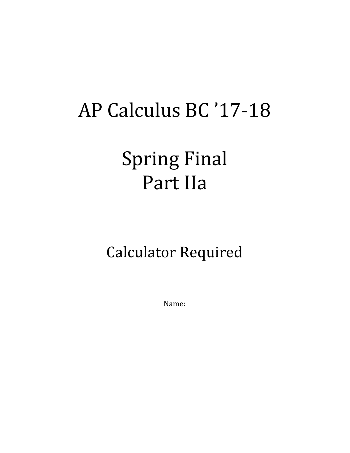# AP Calculus BC '17-18

## Spring Final Part IIa

### Calculator Required

Name: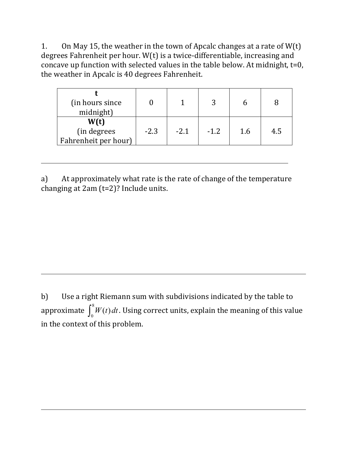1. On May 15, the weather in the town of Apcalc changes at a rate of  $W(t)$ degrees Fahrenheit per hour.  $W(t)$  is a twice-differentiable, increasing and concave up function with selected values in the table below. At midnight,  $t=0$ , the weather in Apcalc is 40 degrees Fahrenheit.

| (in hours since)<br>midnight)               |        |        |        |     |     |
|---------------------------------------------|--------|--------|--------|-----|-----|
| W(t)<br>(in degrees<br>Fahrenheit per hour) | $-2.3$ | $-2.1$ | $-1.2$ | 1.6 | 4.5 |

a) At approximately what rate is the rate of change of the temperature changing at  $2am (t=2)$ ? Include units.

b) Use a right Riemann sum with subdivisions indicated by the table to approximate  $\int_0^{\infty} W(t) dt$  $\int_0^8 W(t) \, dt$  . Using correct units, explain the meaning of this value in the context of this problem.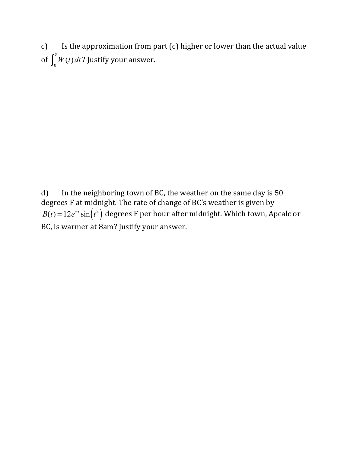c) Is the approximation from part (c) higher or lower than the actual value of  $\int_0^{\infty} W(t) dt$  $\int_0^8 W(t) \, dt$  ? Justify your answer.

d) In the neighboring town of BC, the weather on the same day is  $50$ degrees F at midnight. The rate of change of BC's weather is given by  $B(t) = 12e^{-t}\sin(t^2)$  degrees F per hour after midnight. Which town, Apcalc or BC, is warmer at 8am? Justify your answer.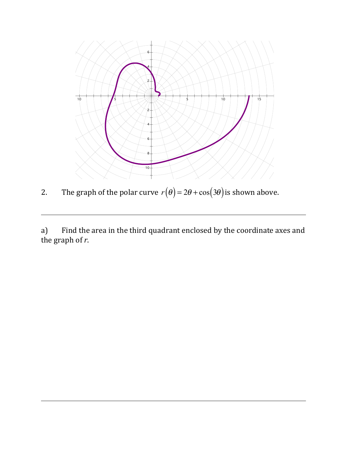

2. The graph of the polar curve  $r(\theta) = 2\theta + \cos(3\theta)$  is shown above.

a) Find the area in the third quadrant enclosed by the coordinate axes and the graph of  $r$ .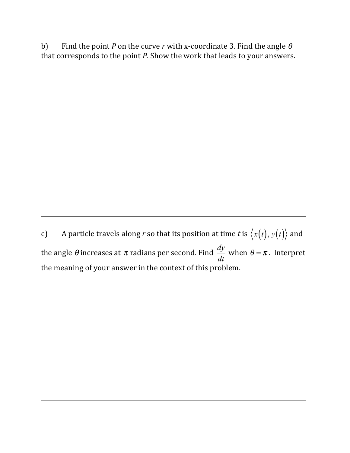b) Find the point *P* on the curve *r* with x-coordinate 3. Find the angle  $\theta$ that corresponds to the point *P*. Show the work that leads to your answers.

c) A particle travels along *r* so that its position at time *t* is  $\langle x(t), y(t) \rangle$  and the angle  $\theta$  increases at  $\pi$  radians per second. Find  $\frac{dy}{dx}$ *dt* when  $\theta = \pi$ . Interpret the meaning of your answer in the context of this problem.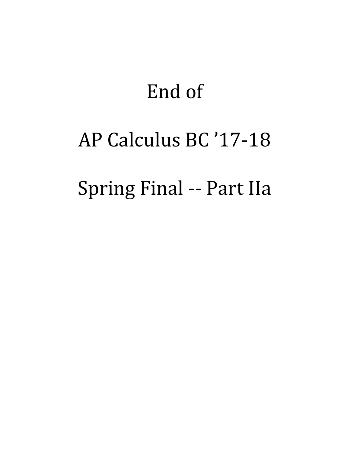## End of

## AP Calculus BC '17-18

## Spring Final -- Part IIa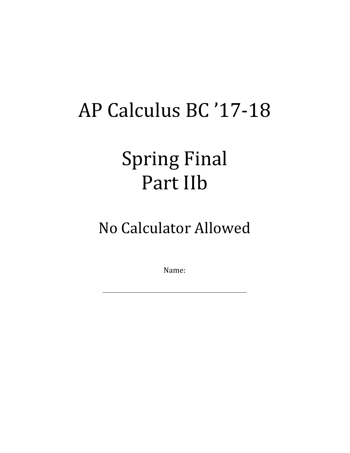# AP Calculus BC '17-18

## **Spring Final** Part IIb

#### No Calculator Allowed

Name: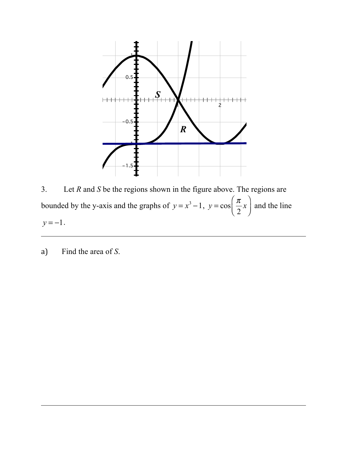

3. Let *R* and *S* be the regions shown in the figure above. The regions are bounded by the y-axis and the graphs of  $y = x^3 - 1$ ,  $y = \cos \left( \frac{\pi}{2} \right)$ 2  $\left(\frac{\pi}{2}x\right)$  $\overline{\mathcal{N}}$  $\overline{a}$ ⎠ ⎟ and the line  $y = -1$ .

a) Find the area of *S*.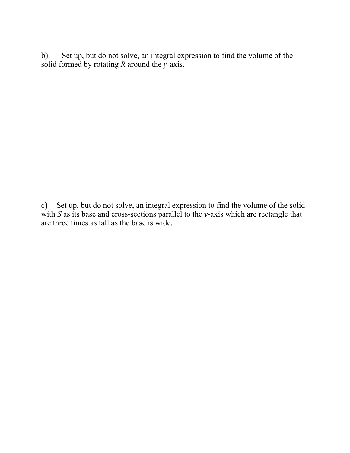b) Set up, but do not solve, an integral expression to find the volume of the solid formed by rotating *R* around the *y*-axis.

c) Set up, but do not solve, an integral expression to find the volume of the solid with *S* as its base and cross-sections parallel to the *y*-axis which are rectangle that are three times as tall as the base is wide.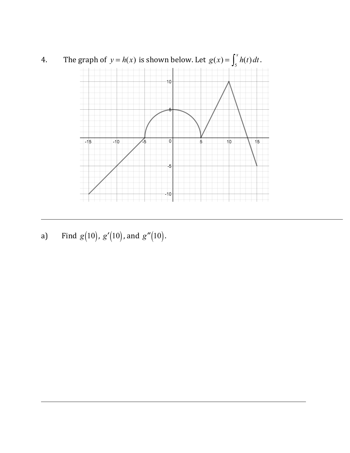

a) Find  $g(10)$ ,  $g'(10)$ , and  $g''(10)$ .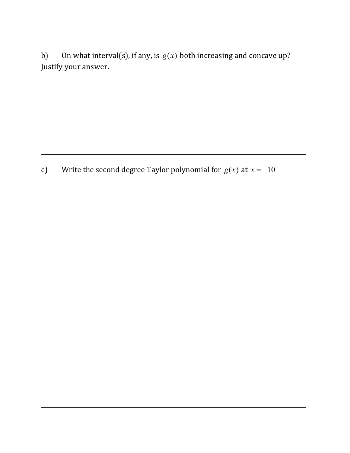b) On what interval(s), if any, is  $g(x)$  both increasing and concave up? Justify your answer.

c) Write the second degree Taylor polynomial for  $g(x)$  at  $x = -10$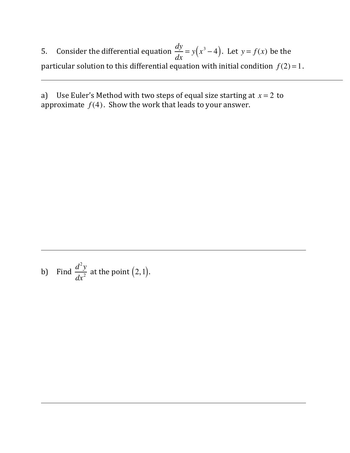5. Consider the differential equation  $\frac{dy}{dx}$  $\frac{dy}{dx} = y(x^3 - 4)$ . Let  $y = f(x)$  be the particular solution to this differential equation with initial condition  $f(2) = 1$ .

a) Use Euler's Method with two steps of equal size starting at  $x = 2$  to approximate  $f(4)$ . Show the work that leads to your answer.

b) Find 
$$
\frac{d^2y}{dx^2}
$$
 at the point (2, 1).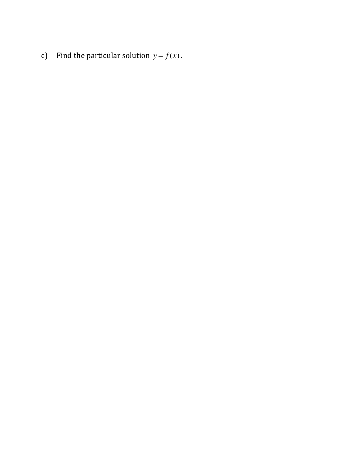c) Find the particular solution  $y = f(x)$ .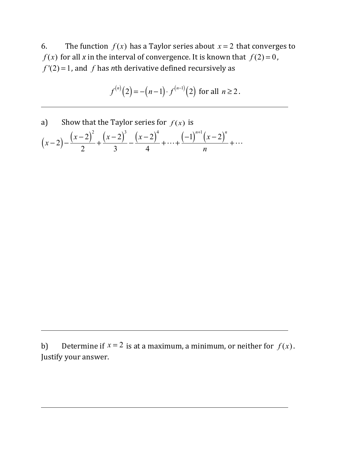6. The function  $f(x)$  has a Taylor series about  $x = 2$  that converges to  $f(x)$  for all *x* in the interval of convergence. It is known that  $f(2) = 0$ ,  $f'(2) = 1$ , and  $f$  has *n*th derivative defined recursively as

$$
f^{(n)}(2) = -(n-1) \cdot f^{(n-1)}(2) \text{ for all } n \ge 2.
$$

a) Show that the Taylor series for  $f(x)$  is  $(x-2)-\frac{(x-2)^2}{2}$ 2  $+\frac{(x-2)^3}{3}-\frac{(x-2)^4}{4}$ 4  $+\cdots+\frac{(-1)^{n+1}(x-2)^n}{(x-2)^n}$ *n*  $+\cdots$ 

b) Determine if  $x = 2$  is at a maximum, a minimum, or neither for  $f(x)$ . Justify your answer.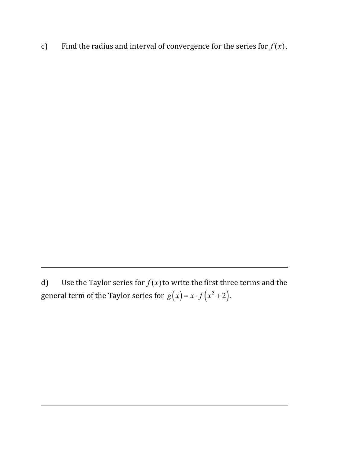c) Find the radius and interval of convergence for the series for  $f(x)$ .

d) Use the Taylor series for  $f(x)$  to write the first three terms and the general term of the Taylor series for  $g(x) = x \cdot f(x^2 + 2)$ .